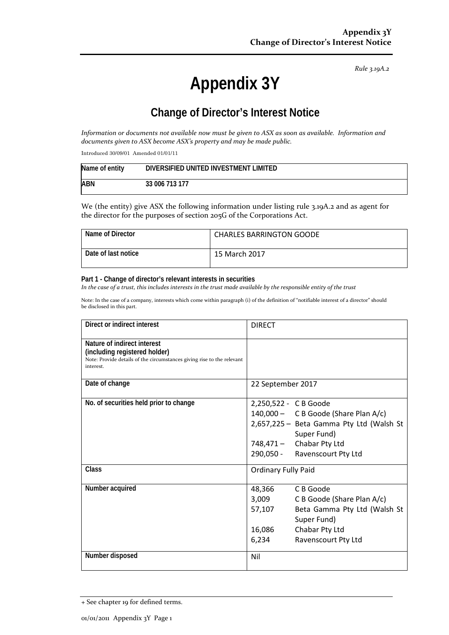*Rule 3.19A.2*

# **Appendix 3Y**

# **Change of Director's Interest Notice**

*Information or documents not available now must be given to ASX as soon as available. Information and documents given to ASX become ASX's property and may be made public.*

Introduced 30/09/01 Amended 01/01/11

| Name of entity | DIVERSIFIED UNITED INVESTMENT LIMITED |
|----------------|---------------------------------------|
| <b>ABN</b>     | 33 006 713 177                        |

We (the entity) give ASX the following information under listing rule 3.19A.2 and as agent for the director for the purposes of section 205G of the Corporations Act.

| Name of Director    | <b>CHARLES BARRINGTON GOODE</b> |
|---------------------|---------------------------------|
| Date of last notice | 15 March 2017                   |

#### **Part 1 - Change of director's relevant interests in securities**

*In the case of a trust, this includes interests in the trust made available by the responsible entity of the trust*

Note: In the case of a company, interests which come within paragraph (i) of the definition of "notifiable interest of a director" should be disclosed in this part.

| Direct or indirect interest                                                                                                                         | <b>DIRECT</b>                                                                                                                                                                         |  |
|-----------------------------------------------------------------------------------------------------------------------------------------------------|---------------------------------------------------------------------------------------------------------------------------------------------------------------------------------------|--|
| Nature of indirect interest<br>(including registered holder)<br>Note: Provide details of the circumstances giving rise to the relevant<br>interest. |                                                                                                                                                                                       |  |
| Date of change                                                                                                                                      | 22 September 2017                                                                                                                                                                     |  |
| No. of securities held prior to change                                                                                                              | 2,250,522 - C B Goode<br>140,000 - C B Goode (Share Plan A/c)<br>2,657,225 - Beta Gamma Pty Ltd (Walsh St<br>Super Fund)<br>748,471 - Chabar Pty Ltd<br>290,050 - Ravenscourt Pty Ltd |  |
| <b>Class</b>                                                                                                                                        | <b>Ordinary Fully Paid</b>                                                                                                                                                            |  |
| Number acquired                                                                                                                                     | C B Goode<br>48,366<br>3,009<br>C B Goode (Share Plan A/c)<br>57,107<br>Beta Gamma Pty Ltd (Walsh St<br>Super Fund)<br>Chabar Pty Ltd<br>16,086<br>Ravenscourt Pty Ltd<br>6,234       |  |
| Number disposed                                                                                                                                     | Nil                                                                                                                                                                                   |  |

<sup>+</sup> See chapter 19 for defined terms.